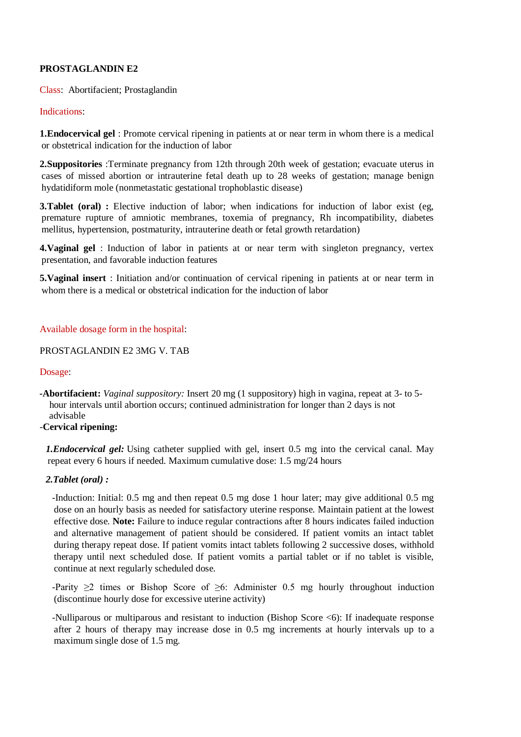# **PROSTAGLANDIN E2**

Class: Abortifacient; Prostaglandin

## Indications:

**1.Endocervical gel** : Promote cervical ripening in patients at or near term in whom there is a medical or obstetrical indication for the induction of labor

**2.Suppositories** :Terminate pregnancy from 12th through 20th week of gestation; evacuate uterus in cases of missed abortion or intrauterine fetal death up to 28 weeks of gestation; manage benign hydatidiform mole (nonmetastatic gestational trophoblastic disease)

**3. Tablet (oral)** : Elective induction of labor; when indications for induction of labor exist (eg, premature rupture of amniotic membranes, toxemia of pregnancy, Rh incompatibility, diabetes mellitus, hypertension, postmaturity, intrauterine death or fetal growth retardation)

**4.Vaginal gel** : Induction of labor in patients at or near term with singleton pregnancy, vertex presentation, and favorable induction features

**5.Vaginal insert** : Initiation and/or continuation of cervical ripening in patients at or near term in whom there is a medical or obstetrical indication for the induction of labor

## Available dosage form in the hospital:

#### PROSTAGLANDIN E2 3MG V. TAB

#### Dosage:

**-Abortifacient:** *Vaginal suppository:* Insert 20 mg (1 suppository) high in vagina, repeat at 3- to 5 hour intervals until abortion occurs; continued administration for longer than 2 days is not advisable

# -**Cervical ripening:**

*1.Endocervical gel:* Using catheter supplied with gel, insert 0.5 mg into the cervical canal. May repeat every 6 hours if needed. Maximum cumulative dose: 1.5 mg/24 hours

#### *2.Tablet (oral) :*

-Induction: Initial: 0.5 mg and then repeat 0.5 mg dose 1 hour later; may give additional 0.5 mg dose on an hourly basis as needed for satisfactory uterine response. Maintain patient at the lowest effective dose. **Note:** Failure to induce regular contractions after 8 hours indicates failed induction and alternative management of patient should be considered. If patient vomits an intact tablet during therapy repeat dose. If patient vomits intact tablets following 2 successive doses, withhold therapy until next scheduled dose. If patient vomits a partial tablet or if no tablet is visible, continue at next regularly scheduled dose.

-Parity  $\geq 2$  times or Bishop Score of  $\geq 6$ : Administer 0.5 mg hourly throughout induction (discontinue hourly dose for excessive uterine activity)

-Nulliparous or multiparous and resistant to induction (Bishop Score <6): If inadequate response after 2 hours of therapy may increase dose in 0.5 mg increments at hourly intervals up to a maximum single dose of 1.5 mg.